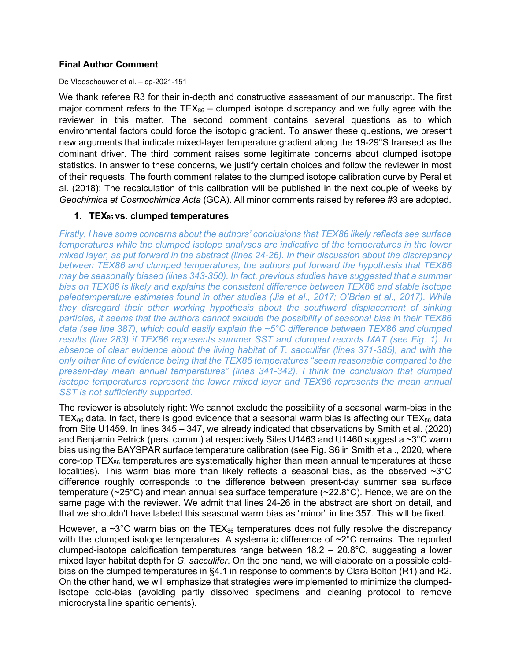## **Final Author Comment**

#### De Vleeschouwer et al. – cp-2021-151

We thank referee R3 for their in-depth and constructive assessment of our manuscript. The first major comment refers to the  $TEX_{86}$  – clumped isotope discrepancy and we fully agree with the reviewer in this matter. The second comment contains several questions as to which environmental factors could force the isotopic gradient. To answer these questions, we present new arguments that indicate mixed-layer temperature gradient along the 19-29°S transect as the dominant driver. The third comment raises some legitimate concerns about clumped isotope statistics. In answer to these concerns, we justify certain choices and follow the reviewer in most of their requests. The fourth comment relates to the clumped isotope calibration curve by Peral et al. (2018): The recalculation of this calibration will be published in the next couple of weeks by *Geochimica et Cosmochimica Acta* (GCA). All minor comments raised by referee #3 are adopted.

## **1. TEX86 vs. clumped temperatures**

*Firstly, I have some concerns about the authors' conclusions that TEX86 likely reflects sea surface temperatures while the clumped isotope analyses are indicative of the temperatures in the lower mixed layer, as put forward in the abstract (lines 24-26). In their discussion about the discrepancy between TEX86 and clumped temperatures, the authors put forward the hypothesis that TEX86 may be seasonally biased (lines 343-350). In fact, previous studies have suggested that a summer bias on TEX86 is likely and explains the consistent difference between TEX86 and stable isotope paleotemperature estimates found in other studies (Jia et al., 2017; O'Brien et al., 2017). While they disregard their other working hypothesis about the southward displacement of sinking particles, it seems that the authors cannot exclude the possibility of seasonal bias in their TEX86 data (see line 387), which could easily explain the ~5°C difference between TEX86 and clumped results (line 283) if TEX86 represents summer SST and clumped records MAT (see Fig. 1). In absence of clear evidence about the living habitat of T. sacculifer (lines 371-385), and with the only other line of evidence being that the TEX86 temperatures "seem reasonable compared to the present-day mean annual temperatures" (lines 341-342), I think the conclusion that clumped isotope temperatures represent the lower mixed layer and TEX86 represents the mean annual SST is not sufficiently supported.*

The reviewer is absolutely right: We cannot exclude the possibility of a seasonal warm-bias in the TEX<sub>86</sub> data. In fact, there is good evidence that a seasonal warm bias is affecting our TEX<sub>86</sub> data from Site U1459. In lines 345 – 347, we already indicated that observations by Smith et al. (2020) and Benjamin Petrick (pers. comm.) at respectively Sites U1463 and U1460 suggest a ~3°C warm bias using the BAYSPAR surface temperature calibration (see Fig. S6 in Smith et al., 2020, where core-top  $TEX_{86}$  temperatures are systematically higher than mean annual temperatures at those localities). This warm bias more than likely reflects a seasonal bias, as the observed  $\sim 3^{\circ}$ C difference roughly corresponds to the difference between present-day summer sea surface temperature (~25°C) and mean annual sea surface temperature (~22.8°C). Hence, we are on the same page with the reviewer. We admit that lines 24-26 in the abstract are short on detail, and that we shouldn't have labeled this seasonal warm bias as "minor" in line 357. This will be fixed.

However, a  $\sim 3^{\circ}$ C warm bias on the TEX $_{86}$  temperatures does not fully resolve the discrepancy with the clumped isotope temperatures. A systematic difference of  $\sim$ 2 $\degree$ C remains. The reported clumped-isotope calcification temperatures range between  $18.2 - 20.8$ °C, suggesting a lower mixed layer habitat depth for *G. sacculifer*. On the one hand, we will elaborate on a possible coldbias on the clumped temperatures in §4.1 in response to comments by Clara Bolton (R1) and R2. On the other hand, we will emphasize that strategies were implemented to minimize the clumpedisotope cold-bias (avoiding partly dissolved specimens and cleaning protocol to remove microcrystalline sparitic cements).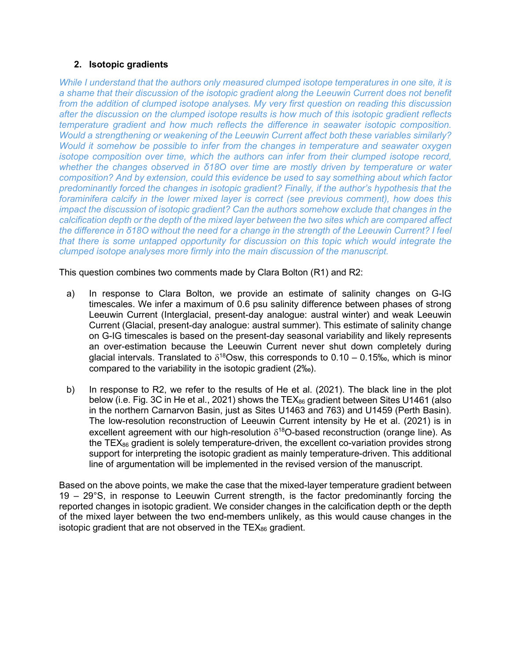# **2. Isotopic gradients**

*While I understand that the authors only measured clumped isotope temperatures in one site, it is a shame that their discussion of the isotopic gradient along the Leeuwin Current does not benefit from the addition of clumped isotope analyses. My very first question on reading this discussion after the discussion on the clumped isotope results is how much of this isotopic gradient reflects temperature gradient and how much reflects the difference in seawater isotopic composition. Would a strengthening or weakening of the Leeuwin Current affect both these variables similarly? Would it somehow be possible to infer from the changes in temperature and seawater oxygen isotope composition over time, which the authors can infer from their clumped isotope record, whether the changes observed in δ18O over time are mostly driven by temperature or water composition? And by extension, could this evidence be used to say something about which factor predominantly forced the changes in isotopic gradient? Finally, if the author's hypothesis that the foraminifera calcify in the lower mixed layer is correct (see previous comment), how does this impact the discussion of isotopic gradient? Can the authors somehow exclude that changes in the calcification depth or the depth of the mixed layer between the two sites which are compared affect the difference in δ18O without the need for a change in the strength of the Leeuwin Current? I feel that there is some untapped opportunity for discussion on this topic which would integrate the clumped isotope analyses more firmly into the main discussion of the manuscript.*

This question combines two comments made by Clara Bolton (R1) and R2:

- a) In response to Clara Bolton, we provide an estimate of salinity changes on G-IG timescales. We infer a maximum of 0.6 psu salinity difference between phases of strong Leeuwin Current (Interglacial, present-day analogue: austral winter) and weak Leeuwin Current (Glacial, present-day analogue: austral summer). This estimate of salinity change on G-IG timescales is based on the present-day seasonal variability and likely represents an over-estimation because the Leeuwin Current never shut down completely during glacial intervals. Translated to  $\delta^{18}$ Osw, this corresponds to 0.10 – 0.15‰, which is minor compared to the variability in the isotopic gradient (2‰).
- b) In response to R2, we refer to the results of He et al. (2021). The black line in the plot below (i.e. Fig. 3C in He et al., 2021) shows the TEX $_{86}$  gradient between Sites U1461 (also in the northern Carnarvon Basin, just as Sites U1463 and 763) and U1459 (Perth Basin). The low-resolution reconstruction of Leeuwin Current intensity by He et al. (2021) is in excellent agreement with our high-resolution  $\delta^{18}$ O-based reconstruction (orange line). As the TEX $_{86}$  gradient is solely temperature-driven, the excellent co-variation provides strong support for interpreting the isotopic gradient as mainly temperature-driven. This additional line of argumentation will be implemented in the revised version of the manuscript.

Based on the above points, we make the case that the mixed-layer temperature gradient between 19 – 29°S, in response to Leeuwin Current strength, is the factor predominantly forcing the reported changes in isotopic gradient. We consider changes in the calcification depth or the depth of the mixed layer between the two end-members unlikely, as this would cause changes in the isotopic gradient that are not observed in the  $TEX_{86}$  gradient.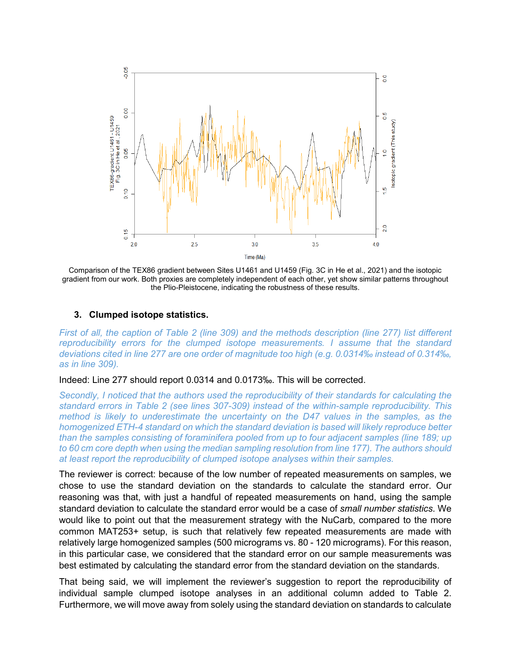

Comparison of the TEX86 gradient between Sites U1461 and U1459 (Fig. 3C in He et al., 2021) and the isotopic gradient from our work. Both proxies are completely independent of each other, yet show similar patterns throughout the Plio-Pleistocene, indicating the robustness of these results.

## **3. Clumped isotope statistics.**

*First of all, the caption of Table 2 (line 309) and the methods description (line 277) list different reproducibility errors for the clumped isotope measurements. I assume that the standard deviations cited in line 277 are one order of magnitude too high (e.g. 0.0314‰ instead of 0.314‰, as in line 309).*

#### Indeed: Line 277 should report 0.0314 and 0.0173‰. This will be corrected.

*Secondly, I noticed that the authors used the reproducibility of their standards for calculating the standard errors in Table 2 (see lines 307-309) instead of the within-sample reproducibility. This method is likely to underestimate the uncertainty on the D47 values in the samples, as the homogenized ETH-4 standard on which the standard deviation is based will likely reproduce better than the samples consisting of foraminifera pooled from up to four adjacent samples (line 189; up to 60 cm core depth when using the median sampling resolution from line 177). The authors should at least report the reproducibility of clumped isotope analyses within their samples.*

The reviewer is correct: because of the low number of repeated measurements on samples, we chose to use the standard deviation on the standards to calculate the standard error. Our reasoning was that, with just a handful of repeated measurements on hand, using the sample standard deviation to calculate the standard error would be a case of *small number statistics*. We would like to point out that the measurement strategy with the NuCarb, compared to the more common MAT253+ setup, is such that relatively few repeated measurements are made with relatively large homogenized samples (500 micrograms vs. 80 - 120 micrograms). For this reason, in this particular case, we considered that the standard error on our sample measurements was best estimated by calculating the standard error from the standard deviation on the standards.

That being said, we will implement the reviewer's suggestion to report the reproducibility of individual sample clumped isotope analyses in an additional column added to Table 2. Furthermore, we will move away from solely using the standard deviation on standards to calculate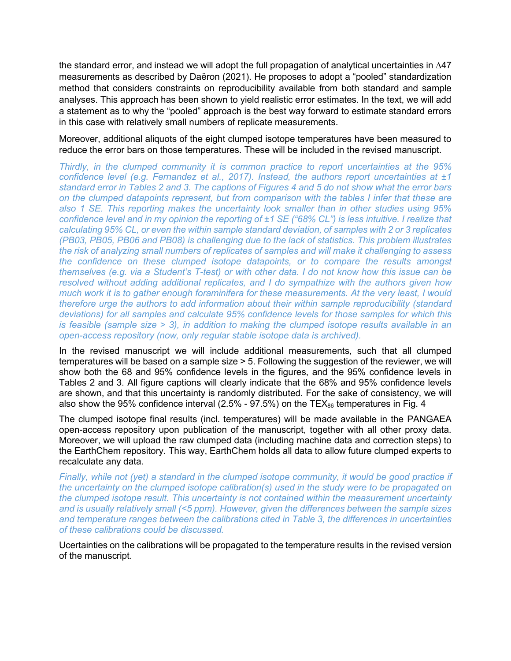the standard error, and instead we will adopt the full propagation of analytical uncertainties in ∆47 measurements as described by Daëron (2021). He proposes to adopt a "pooled" standardization method that considers constraints on reproducibility available from both standard and sample analyses. This approach has been shown to yield realistic error estimates. In the text, we will add a statement as to why the "pooled" approach is the best way forward to estimate standard errors in this case with relatively small numbers of replicate measurements.

Moreover, additional aliquots of the eight clumped isotope temperatures have been measured to reduce the error bars on those temperatures. These will be included in the revised manuscript.

*Thirdly, in the clumped community it is common practice to report uncertainties at the 95% confidence level (e.g. Fernandez et al., 2017). Instead, the authors report uncertainties at ±1 standard error in Tables 2 and 3. The captions of Figures 4 and 5 do not show what the error bars on the clumped datapoints represent, but from comparison with the tables I infer that these are also 1 SE. This reporting makes the uncertainty look smaller than in other studies using 95% confidence level and in my opinion the reporting of ±1 SE ("68% CL") is less intuitive. I realize that calculating 95% CL, or even the within sample standard deviation, of samples with 2 or 3 replicates (PB03, PB05, PB06 and PB08) is challenging due to the lack of statistics. This problem illustrates the risk of analyzing small numbers of replicates of samples and will make it challenging to assess the confidence on these clumped isotope datapoints, or to compare the results amongst themselves (e.g. via a Student's T-test) or with other data. I do not know how this issue can be resolved without adding additional replicates, and I do sympathize with the authors given how much work it is to gather enough foraminifera for these measurements. At the very least, I would therefore urge the authors to add information about their within sample reproducibility (standard deviations) for all samples and calculate 95% confidence levels for those samples for which this is feasible (sample size > 3), in addition to making the clumped isotope results available in an open-access repository (now, only regular stable isotope data is archived).*

In the revised manuscript we will include additional measurements, such that all clumped temperatures will be based on a sample size > 5. Following the suggestion of the reviewer, we will show both the 68 and 95% confidence levels in the figures, and the 95% confidence levels in Tables 2 and 3. All figure captions will clearly indicate that the 68% and 95% confidence levels are shown, and that this uncertainty is randomly distributed. For the sake of consistency, we will also show the 95% confidence interval (2.5% - 97.5%) on the TEX $_{86}$  temperatures in Fig. 4

The clumped isotope final results (incl. temperatures) will be made available in the PANGAEA open-access repository upon publication of the manuscript, together with all other proxy data. Moreover, we will upload the raw clumped data (including machine data and correction steps) to the EarthChem repository. This way, EarthChem holds all data to allow future clumped experts to recalculate any data.

*Finally, while not (yet) a standard in the clumped isotope community, it would be good practice if the uncertainty on the clumped isotope calibration(s) used in the study were to be propagated on the clumped isotope result. This uncertainty is not contained within the measurement uncertainty and is usually relatively small (<5 ppm). However, given the differences between the sample sizes and temperature ranges between the calibrations cited in Table 3, the differences in uncertainties of these calibrations could be discussed.*

Ucertainties on the calibrations will be propagated to the temperature results in the revised version of the manuscript.